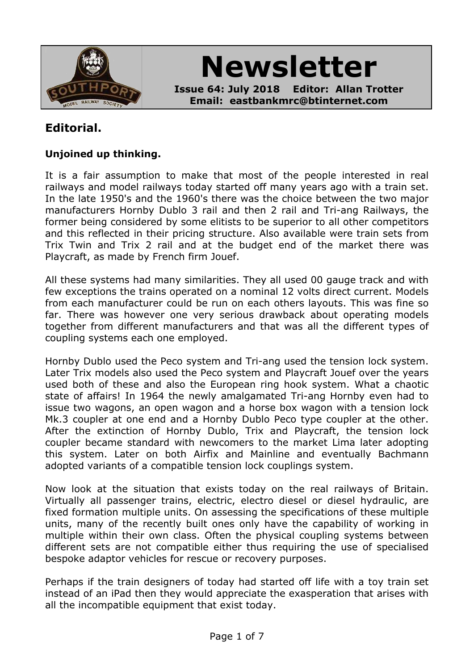

**Newsletter**

**Issue 64: July 2018 Editor: Allan Trotter Email: eastbankmrc@btinternet.com**

# **Editorial.**

### **Unjoined up thinking.**

It is a fair assumption to make that most of the people interested in real railways and model railways today started off many years ago with a train set. In the late 1950's and the 1960's there was the choice between the two major manufacturers Hornby Dublo 3 rail and then 2 rail and Tri-ang Railways, the former being considered by some elitists to be superior to all other competitors and this reflected in their pricing structure. Also available were train sets from Trix Twin and Trix 2 rail and at the budget end of the market there was Playcraft, as made by French firm Jouef.

All these systems had many similarities. They all used 00 gauge track and with few exceptions the trains operated on a nominal 12 volts direct current. Models from each manufacturer could be run on each others layouts. This was fine so far. There was however one very serious drawback about operating models together from different manufacturers and that was all the different types of coupling systems each one employed.

Hornby Dublo used the Peco system and Tri-ang used the tension lock system. Later Trix models also used the Peco system and Playcraft Jouef over the years used both of these and also the European ring hook system. What a chaotic state of affairs! In 1964 the newly amalgamated Tri-ang Hornby even had to issue two wagons, an open wagon and a horse box wagon with a tension lock Mk.3 coupler at one end and a Hornby Dublo Peco type coupler at the other. After the extinction of Hornby Dublo, Trix and Playcraft, the tension lock coupler became standard with newcomers to the market Lima later adopting this system. Later on both Airfix and Mainline and eventually Bachmann adopted variants of a compatible tension lock couplings system.

Now look at the situation that exists today on the real railways of Britain. Virtually all passenger trains, electric, electro diesel or diesel hydraulic, are fixed formation multiple units. On assessing the specifications of these multiple units, many of the recently built ones only have the capability of working in multiple within their own class. Often the physical coupling systems between different sets are not compatible either thus requiring the use of specialised bespoke adaptor vehicles for rescue or recovery purposes.

Perhaps if the train designers of today had started off life with a toy train set instead of an iPad then they would appreciate the exasperation that arises with all the incompatible equipment that exist today.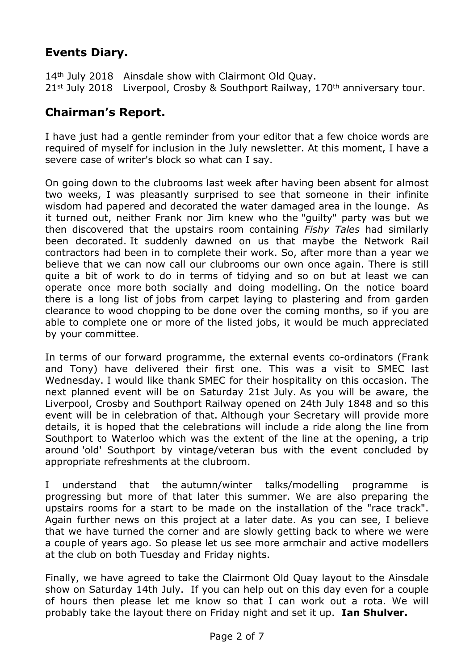# **Events Diary.**

14<sup>th</sup> July 2018 Ainsdale show with Clairmont Old Quay. 21<sup>st</sup> July 2018 Liverpool, Crosby & Southport Railway, 170<sup>th</sup> anniversary tour.

### **Chairman's Report.**

I have just had a gentle reminder from your editor that a few choice words are required of myself for inclusion in the July newsletter. At this moment, I have a severe case of writer's block so what can I say.

On going down to the clubrooms last week after having been absent for almost two weeks, I was pleasantly surprised to see that someone in their infinite wisdom had papered and decorated the water damaged area in the lounge. As it turned out, neither Frank nor Jim knew who the "guilty" party was but we then discovered that the upstairs room containing *Fishy Tales* had similarly been decorated. It suddenly dawned on us that maybe the Network Rail contractors had been in to complete their work. So, after more than a year we believe that we can now call our clubrooms our own once again. There is still quite a bit of work to do in terms of tidying and so on but at least we can operate once more both socially and doing modelling. On the notice board there is a long list of jobs from carpet laying to plastering and from garden clearance to wood chopping to be done over the coming months, so if you are able to complete one or more of the listed jobs, it would be much appreciated by your committee.

In terms of our forward programme, the external events co-ordinators (Frank and Tony) have delivered their first one. This was a visit to SMEC last Wednesday. I would like thank SMEC for their hospitality on this occasion. The next planned event will be on Saturday 21st July. As you will be aware, the Liverpool, Crosby and Southport Railway opened on 24th July 1848 and so this event will be in celebration of that. Although your Secretary will provide more details, it is hoped that the celebrations will include a ride along the line from Southport to Waterloo which was the extent of the line at the opening, a trip around 'old' Southport by vintage/veteran bus with the event concluded by appropriate refreshments at the clubroom.

I understand that the autumn/winter talks/modelling programme is progressing but more of that later this summer. We are also preparing the upstairs rooms for a start to be made on the installation of the "race track". Again further news on this project at a later date. As you can see, I believe that we have turned the corner and are slowly getting back to where we were a couple of years ago. So please let us see more armchair and active modellers at the club on both Tuesday and Friday nights.

Finally, we have agreed to take the Clairmont Old Quay layout to the Ainsdale show on Saturday 14th July. If you can help out on this day even for a couple of hours then please let me know so that I can work out a rota. We will probably take the layout there on Friday night and set it up. **Ian Shulver.**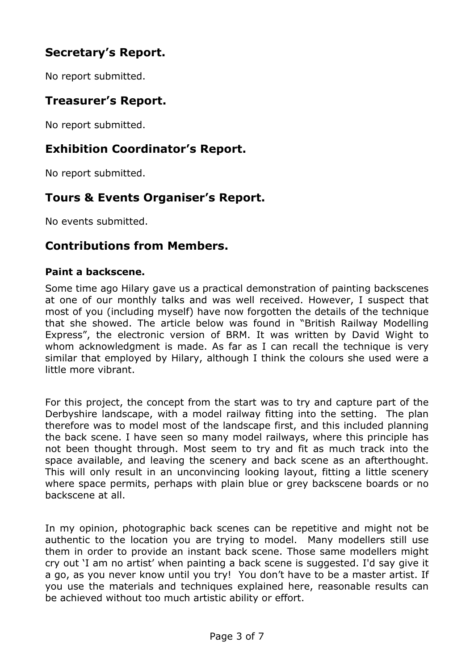# **Secretary's Report.**

No report submitted.

### **Treasurer's Report.**

No report submitted.

### **Exhibition Coordinator's Report.**

No report submitted.

### **Tours & Events Organiser's Report.**

No events submitted.

### **Contributions from Members.**

#### **Paint a backscene.**

Some time ago Hilary gave us a practical demonstration of painting backscenes at one of our monthly talks and was well received. However, I suspect that most of you (including myself) have now forgotten the details of the technique that she showed. The article below was found in "British Railway Modelling Express", the electronic version of BRM. It was written by David Wight to whom acknowledgment is made. As far as I can recall the technique is very similar that employed by Hilary, although I think the colours she used were a little more vibrant.

For this project, the concept from the start was to try and capture part of the Derbyshire landscape, with a model railway fitting into the setting. The plan therefore was to model most of the landscape first, and this included planning the back scene. I have seen so many model railways, where this principle has not been thought through. Most seem to try and fit as much track into the space available, and leaving the scenery and back scene as an afterthought. This will only result in an unconvincing looking layout, fitting a little scenery where space permits, perhaps with plain blue or grey backscene boards or no backscene at all.

In my opinion, photographic back scenes can be repetitive and might not be authentic to the location you are trying to model. Many modellers still use them in order to provide an instant back scene. Those same modellers might cry out 'I am no artist' when painting a back scene is suggested. I'd say give it a go, as you never know until you try! You don't have to be a master artist. If you use the materials and techniques explained here, reasonable results can be achieved without too much artistic ability or effort.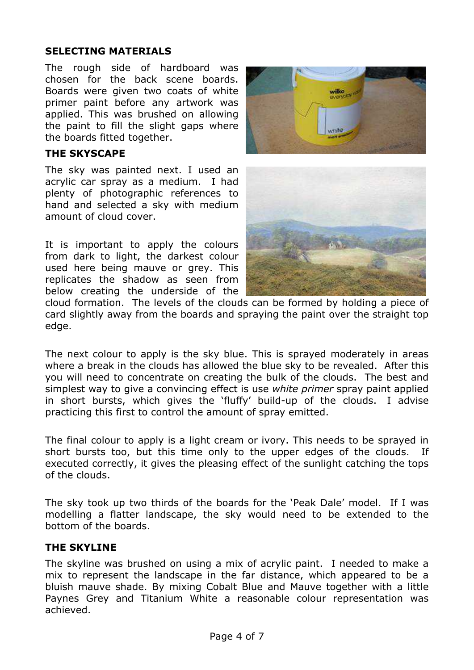#### **SELECTING MATERIALS**

The rough side of hardboard was chosen for the back scene boards. Boards were given two coats of white primer paint before any artwork was applied. This was brushed on allowing the paint to fill the slight gaps where the boards fitted together.

#### **THE SKYSCAPE**

The sky was painted next. I used an acrylic car spray as a medium. I had plenty of photographic references to hand and selected a sky with medium amount of cloud cover.

It is important to apply the colours from dark to light, the darkest colour used here being mauve or grey. This replicates the shadow as seen from below creating the underside of the





cloud formation. The levels of the clouds can be formed by holding a piece of card slightly away from the boards and spraying the paint over the straight top edge.

The next colour to apply is the sky blue. This is sprayed moderately in areas where a break in the clouds has allowed the blue sky to be revealed. After this you will need to concentrate on creating the bulk of the clouds. The best and simplest way to give a convincing effect is use *white primer* spray paint applied in short bursts, which gives the 'fluffy' build-up of the clouds. I advise practicing this first to control the amount of spray emitted.

The final colour to apply is a light cream or ivory. This needs to be sprayed in short bursts too, but this time only to the upper edges of the clouds. If executed correctly, it gives the pleasing effect of the sunlight catching the tops of the clouds.

The sky took up two thirds of the boards for the 'Peak Dale' model. If I was modelling a flatter landscape, the sky would need to be extended to the bottom of the boards.

#### **THE SKYLINE**

The skyline was brushed on using a mix of acrylic paint. I needed to make a mix to represent the landscape in the far distance, which appeared to be a bluish mauve shade. By mixing Cobalt Blue and Mauve together with a little Paynes Grey and Titanium White a reasonable colour representation was achieved.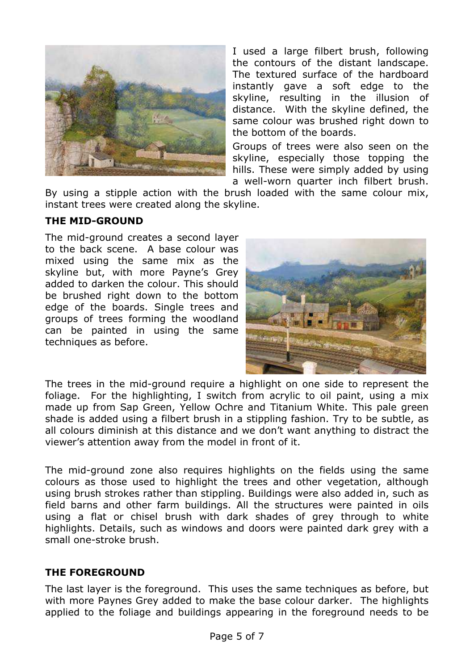

I used a large filbert brush, following the contours of the distant landscape. The textured surface of the hardboard instantly gave a soft edge to the skyline, resulting in the illusion of distance. With the skyline defined, the same colour was brushed right down to the bottom of the boards.

Groups of trees were also seen on the skyline, especially those topping the hills. These were simply added by using a well-worn quarter inch filbert brush.

By using a stipple action with the brush loaded with the same colour mix, instant trees were created along the skyline.

#### **THE MID-GROUND**

The mid-ground creates a second layer to the back scene. A base colour was mixed using the same mix as the skyline but, with more Payne's Grey added to darken the colour. This should be brushed right down to the bottom edge of the boards. Single trees and groups of trees forming the woodland can be painted in using the same techniques as before.



The trees in the mid-ground require a highlight on one side to represent the foliage. For the highlighting, I switch from acrylic to oil paint, using a mix made up from Sap Green, Yellow Ochre and Titanium White. This pale green shade is added using a filbert brush in a stippling fashion. Try to be subtle, as all colours diminish at this distance and we don't want anything to distract the viewer's attention away from the model in front of it.

The mid-ground zone also requires highlights on the fields using the same colours as those used to highlight the trees and other vegetation, although using brush strokes rather than stippling. Buildings were also added in, such as field barns and other farm buildings. All the structures were painted in oils using a flat or chisel brush with dark shades of grey through to white highlights. Details, such as windows and doors were painted dark grey with a small one-stroke brush.

#### **THE FOREGROUND**

The last layer is the foreground. This uses the same techniques as before, but with more Paynes Grey added to make the base colour darker. The highlights applied to the foliage and buildings appearing in the foreground needs to be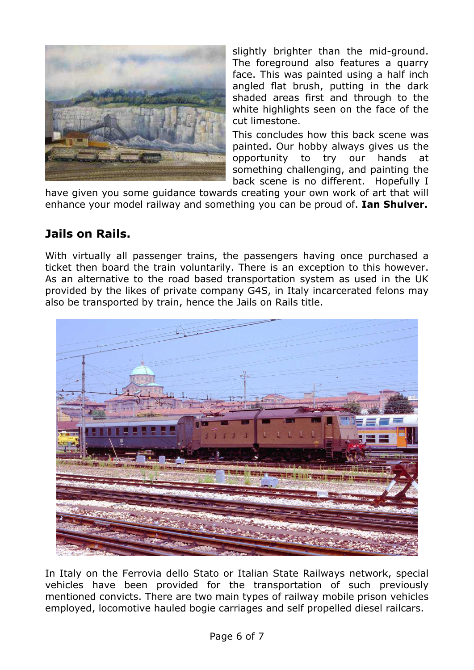

slightly brighter than the mid-ground. The foreground also features a quarry face. This was painted using a half inch angled flat brush, putting in the dark shaded areas first and through to the white highlights seen on the face of the cut limestone.

This concludes how this back scene was painted. Our hobby always gives us the opportunity to try our hands at something challenging, and painting the back scene is no different. Hopefully I

have given you some guidance towards creating your own work of art that will enhance your model railway and something you can be proud of. **Ian Shulver.**

# **Jails on Rails.**

With virtually all passenger trains, the passengers having once purchased a ticket then board the train voluntarily. There is an exception to this however. As an alternative to the road based transportation system as used in the UK provided by the likes of private company G4S, in Italy incarcerated felons may also be transported by train, hence the Jails on Rails title.



In Italy on the Ferrovia dello Stato or Italian State Railways network, special vehicles have been provided for the transportation of such previously mentioned convicts. There are two main types of railway mobile prison vehicles employed, locomotive hauled bogie carriages and self propelled diesel railcars.